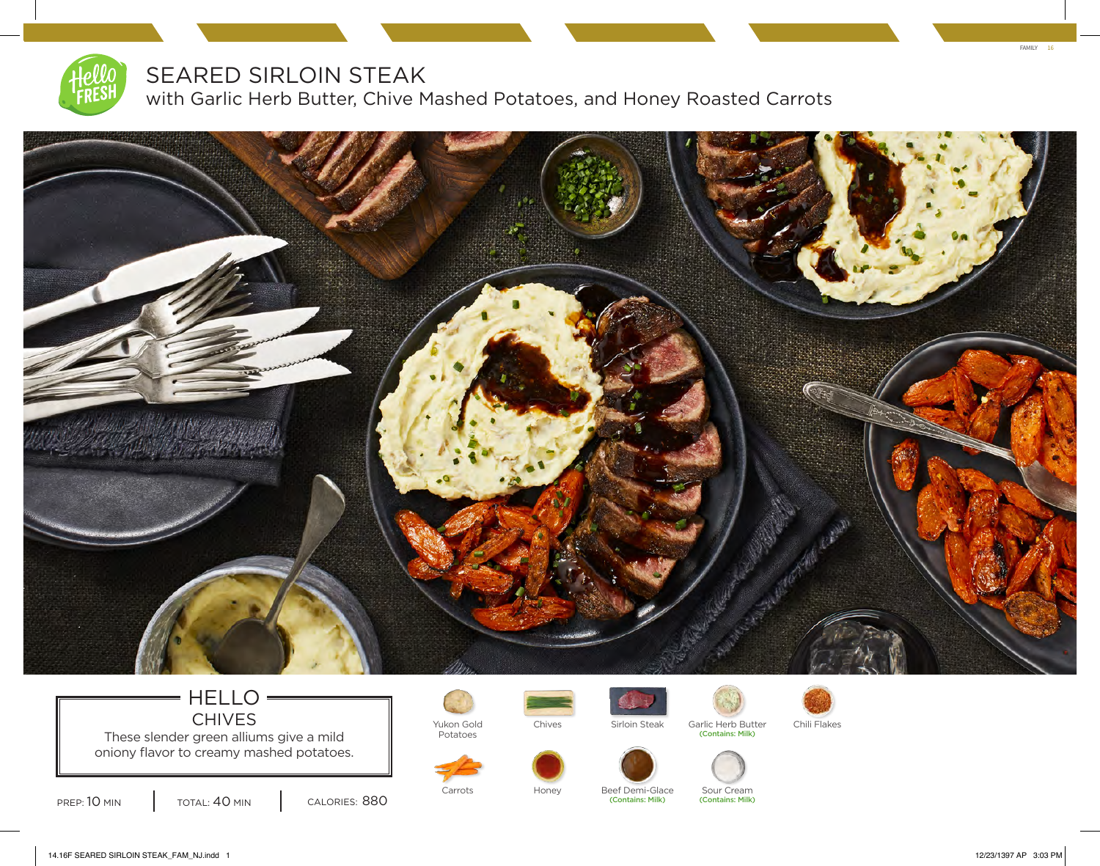

## SEARED SIRLOIN STEAK

with Garlic Herb Butter, Chive Mashed Potatoes, and Honey Roasted Carrots



### HELLO = CHIVES **I** Yukon Gold These slender green alliums give a mild

oniony flavor to creamy mashed potatoes.



CALORIES: 880



Potatoes



(Contains: Milk) (Contains: Milk)

Chives Sirloin Steak Garlic Herb Butter Chili Flakes







Carrots Honey Beef Demi-Glace Sour Cream<br>Contains: Milk) (Contains: Milk) (Contains: Milk)

FAMILY 16